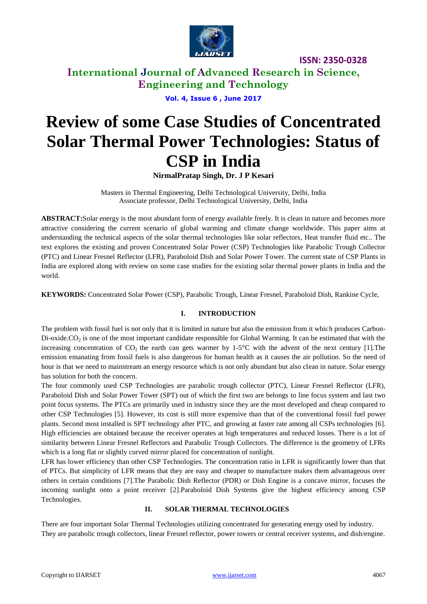

## **International Journal of Advanced Research in Science, Engineering and Technology**

**Vol. 4, Issue 6 , June 2017**

# **Review of some Case Studies of Concentrated Solar Thermal Power Technologies: Status of CSP in India**

**NirmalPratap Singh, Dr. J P Kesari**

Masters in Thermal Engineering, Delhi Technological University, Delhi, India Associate professor, Delhi Technological University, Delhi, India

**ABSTRACT:**Solar energy is the most abundant form of energy available freely. It is clean in nature and becomes more attractive considering the current scenario of global warming and climate change worldwide. This paper aims at understanding the technical aspects of the solar thermal technologies like solar reflectors, Heat transfer fluid etc.. The text explores the existing and proven Concentrated Solar Power (CSP) Technologies like Parabolic Trough Collector (PTC) and Linear Fresnel Reflector (LFR), Paraboloid Dish and Solar Power Tower. The current state of CSP Plants in India are explored along with review on some case studies for the existing solar thermal power plants in India and the world.

**KEYWORDS:** Concentrated Solar Power (CSP), Parabolic Trough, Linear Fresnel, Paraboloid Dish, Rankine Cycle,

#### **I. INTRODUCTION**

The problem with fossil fuel is not only that it is limited in nature but also the emission from it which produces Carbon-Di-oxide. $CO<sub>2</sub>$  is one of the most important candidate responsible for Global Warming. It can be estimated that with the increasing concentration of  $CO_2$  the earth can gets warmer by 1-5°C with the advent of the next century [1]. The emission emanating from fossil fuels is also dangerous for human health as it causes the air pollution. So the need of hour is that we need to mainstream an energy resource which is not only abundant but also clean in nature. Solar energy has solution for both the concern.

The four commonly used CSP Technologies are parabolic trough collector (PTC), Linear Fresnel Reflector (LFR), Paraboloid Dish and Solar Power Tower (SPT) out of which the first two are belongs to line focus system and last two point focus systems. The PTCs are primarily used in industry since they are the most developed and cheap compared to other CSP Technologies [5]. However, its cost is still more expensive than that of the conventional fossil fuel power plants. Second most installed is SPT technology after PTC, and growing at faster rate among all CSPs technologies [6]. High efficiencies are obtained because the receiver operates at high temperatures and reduced losses. There is a lot of similarity between Linear Fresnel Reflectors and Parabolic Trough Collectors. The difference is the geometry of LFRs which is a long flat or slightly curved mirror placed for concentration of sunlight.

LFR has lower efficiency than other CSP Technologies. The concentration ratio in LFR is significantly lower than that of PTCs. But simplicity of LFR means that they are easy and cheaper to manufacture makes them advantageous over others in certain conditions [7].The Parabolic Dish Reflector (PDR) or Dish Engine is a concave mirror, focuses the incoming sunlight onto a point receiver [2].Paraboloid Dish Systems give the highest efficiency among CSP Technologies.

#### **II. SOLAR THERMAL TECHNOLOGIES**

There are four important Solar Thermal Technologies utilizing concentrated for generating energy used by industry. They are parabolic trough collectors, linear Fresnel reflector, power towers or central receiver systems, and dish/engine.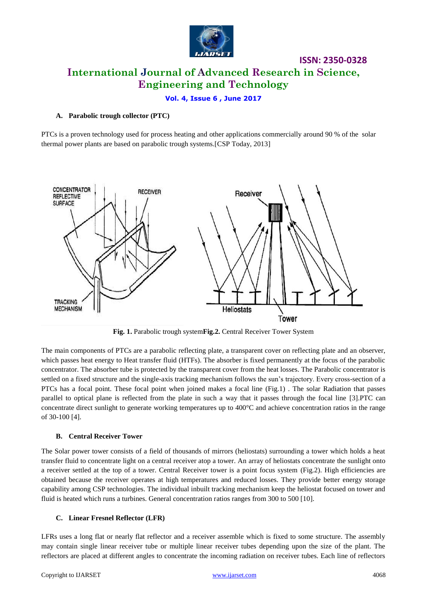

**ISSN: 2350-0328 International Journal of Advanced Research in Science, Engineering and Technology**

#### **Vol. 4, Issue 6 , June 2017**

#### **A. Parabolic trough collector (PTC)**

PTCs is a proven technology used for process heating and other applications commercially around 90 % of the solar thermal power plants are based on parabolic trough systems.[CSP Today, 2013]



**Fig. 1.** Parabolic trough system**Fig.2.** Central Receiver Tower System

The main components of PTCs are a parabolic reflecting plate, a transparent cover on reflecting plate and an observer, which passes heat energy to Heat transfer fluid (HTFs). The absorber is fixed permanently at the focus of the parabolic concentrator. The absorber tube is protected by the transparent cover from the heat losses. The Parabolic concentrator is settled on a fixed structure and the single-axis tracking mechanism follows the sun"s trajectory. Every cross-section of a PTCs has a focal point. These focal point when joined makes a focal line (Fig.1) . The solar Radiation that passes parallel to optical plane is reflected from the plate in such a way that it passes through the focal line [3].PTC can concentrate direct sunlight to generate working temperatures up to  $400^{\circ}$ C and achieve concentration ratios in the range of 30-100 [4].

#### **B. Central Receiver Tower**

The Solar power tower consists of a field of thousands of mirrors (heliostats) surrounding a tower which holds a heat transfer fluid to concentrate light on a central receiver atop a tower. An array of heliostats concentrate the sunlight onto a receiver settled at the top of a tower. Central Receiver tower is a point focus system (Fig.2). High efficiencies are obtained because the receiver operates at high temperatures and reduced losses. They provide better energy storage capability among CSP technologies. The individual inbuilt tracking mechanism keep the heliostat focused on tower and fluid is heated which runs a turbines. General concentration ratios ranges from 300 to 500 [10].

#### **C. Linear Fresnel Reflector (LFR)**

LFRs uses a long flat or nearly flat reflector and a receiver assemble which is fixed to some structure. The assembly may contain single linear receiver tube or multiple linear receiver tubes depending upon the size of the plant. The reflectors are placed at different angles to concentrate the incoming radiation on receiver tubes. Each line of reflectors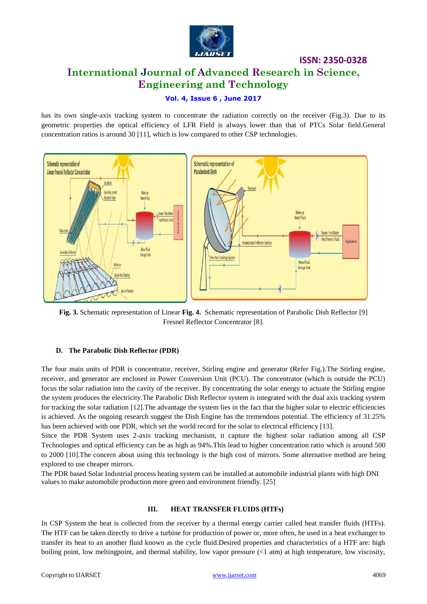

# **International Journal of Advanced Research in Science, Engineering and Technology**

**ISSN: 2350-0328**

#### **Vol. 4, Issue 6 , June 2017**

has its own single-axis tracking system to concentrate the radiation correctly on the receiver (Fig.3). Due to its geometric properties the optical efficiency of LFR Field is always lower than that of PTCs Solar field.General concentration ratios is around 30 [11], which is low compared to other CSP technologies.



**Fig. 3.** Schematic representation of Linear **Fig. 4.** Schematic representation of Parabolic Dish Reflector [9] Fresnel Reflector Concentrator [8].

#### **D. The Parabolic Dish Reflector (PDR)**

The four main units of PDR is concentrator, receiver, Stirling engine and generator (Refer Fig.).The Stirling engine, receiver, and generator are enclosed in Power Conversion Unit (PCU). The concentrator (which is outside the PCU) focus the solar radiation into the cavity of the receiver. By concentrating the solar energy to actuate the Stirling engine the system produces the electricity.The Parabolic Dish Reflector system is integrated with the dual axis tracking system for tracking the solar radiation [12].The advantage the system lies in the fact that the higher solar to electric efficiencies is achieved. As the ongoing research suggest the Dish Engine has the tremendous potential. The efficiency of 31.25% has been achieved with one PDR, which set the world record for the solar to electrical efficiency [13].

Since the PDR System uses 2-axis tracking mechanism, it capture the highest solar radiation among all CSP Technologies and optical efficiency can be as high as 94%.This lead to higher concentration ratio which is around 500 to 2000 [10].The concern about using this technology is the high cost of mirrors. Some alternative method are being explored to use cheaper mirrors.

The PDR based Solar Industrial process heating system can be installed at automobile industrial plants with high DNI values to make automobile production more green and environment friendly. [25]

#### **III. HEAT TRANSFER FLUIDS (HTFs)**

In CSP System the heat is collected from the receiver by a thermal energy carrier called heat transfer fluids (HTFs). The HTF can be taken directly to drive a turbine for production of power or, more often, be used in a heat exchanger to transfer its heat to an another fluid known as the cycle fluid.Desired properties and characteristics of a HTF are: high boiling point, low meltingpoint, and thermal stability, low vapor pressure (<1 atm) at high temperature, low viscosity,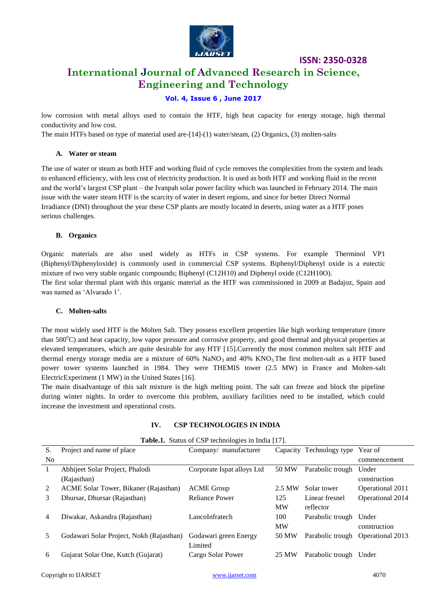

# **ISSN: 2350-0328 International Journal of Advanced Research in Science, Engineering and Technology**

#### **Vol. 4, Issue 6 , June 2017**

low corrosion with metal alloys used to contain the HTF, high heat capacity for energy storage, high thermal conductivity and low cost.

The main HTFs based on type of material used are-[14]-(1) water/steam, (2) Organics, (3) molten-salts

#### **A. Water or steam**

The use of water or steam as both HTF and working fluid of cycle removes the complexities from the system and leads to enhanced efficiency, with less cost of electricity production. It is used as both HTF and working fluid in the recent and the world"s largest CSP plant – the Ivanpah solar power facility which was launched in February 2014. The main issue with the water steam HTF is the scarcity of water in desert regions, and since for better Direct Normal Irradiance (DNI) throughout the year these CSP plants are mostly located in deserts, using water as a HTF poses serious challenges.

#### **B. Organics**

Organic materials are also used widely as HTFs in CSP systems. For example Therminol VP1 (Biphenyl/Diphenyloxide) is commonly used in commercial CSP systems. Biphenyl/Diphenyl oxide is a eutectic mixture of two very stable organic compounds; Biphenyl (C12H10) and Diphenyl oxide (C12H10O). The first solar thermal plant with this organic material as the HTF was commissioned in 2009 at Badajoz, Spain and was named as "Alvarado 1".

#### **C. Molten-salts**

The most widely used HTF is the Molten Salt. They possess excellent properties like high working temperature (more than  $500^{\circ}$ C) and heat capacity, low vapor pressure and corrosive property, and good thermal and physical properties at elevated temperatures, which are quite desirable for any HTF [15].Currently the most common molten salt HTF and thermal energy storage media are a mixture of  $60\%$  NaNO<sub>3</sub> and  $40\%$  KNO<sub>3</sub>. The first molten-salt as a HTF based power tower systems launched in 1984. They were THEMIS tower (2.5 MW) in France and Molten-salt ElectricExperiment (1 MW) in the United States [16].

The main disadvantage of this salt mixture is the high melting point. The salt can freeze and block the pipeline during winter nights. In order to overcome this problem, auxiliary facilities need to be installed, which could increase the investment and operational costs.

|                | <b>THERE I</b> DRIVE OF OUR RECEIVING THE HIGH $\left  \cdot \right $ |                            |           |                          |                  |
|----------------|-----------------------------------------------------------------------|----------------------------|-----------|--------------------------|------------------|
| S.             | Project and name of place                                             | Company/ manufacturer      |           | Capacity Technology type | Year of          |
| N <sub>0</sub> |                                                                       |                            |           |                          | commencement     |
| 1              | Abhijeet Solar Project, Phalodi                                       | Corporate Ispat alloys Ltd | 50 MW     | Parabolic trough         | Under            |
|                | (Rajasthan)                                                           |                            |           |                          | construction     |
| 2              | ACME Solar Tower, Bikaner (Rajasthan)                                 | <b>ACME Group</b>          | 2.5 MW    | Solar tower              | Operational 2011 |
| 3              | Dhursar, Dhursar (Rajasthan)                                          | <b>Reliance Power</b>      | 125       | Linear fresnel           | Operational 2014 |
|                |                                                                       |                            | <b>MW</b> | reflector                |                  |
| 4              | Diwakar, Askandra (Rajasthan)                                         | LancoInfratech             | 100       | Parabolic trough         | Under            |
|                |                                                                       |                            | <b>MW</b> |                          | construction     |
| 5              | Godawari Solar Project, Nokh (Rajasthan)                              | Godawari green Energy      | 50 MW     | Parabolic trough         | Operational 2013 |
|                |                                                                       | Limited                    |           |                          |                  |
| 6              | Gujarat Solar One, Kutch (Gujarat)                                    | Cargo Solar Power          | 25 MW     | Parabolic trough         | Under            |
|                |                                                                       |                            |           |                          |                  |

#### **IV. CSP TECHNOLOGIES IN INDIA**

**Table.1.** Status of CSP technologies in India [17].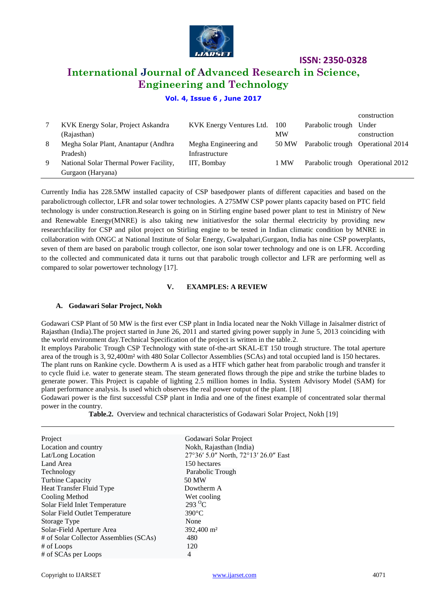

# **International Journal of Advanced Research in Science, Engineering and Technology**

#### **Vol. 4, Issue 6 , June 2017**

|   |                                        |                          |           |                                   | construction                      |
|---|----------------------------------------|--------------------------|-----------|-----------------------------------|-----------------------------------|
|   | KVK Energy Solar, Project Askandra     | KVK Energy Ventures Ltd. | 100       | Parabolic trough Under            |                                   |
|   | (Rajasthan)                            |                          | <b>MW</b> |                                   | construction                      |
| 8 | Megha Solar Plant, Anantapur (Andhra   | Megha Engineering and    | 50 MW     | Parabolic trough Operational 2014 |                                   |
|   | Pradesh)                               | Infrastructure           |           |                                   |                                   |
| 9 | National Solar Thermal Power Facility, | IIT, Bombay              | 1 MW      |                                   | Parabolic trough Operational 2012 |
|   | Gurgaon (Haryana)                      |                          |           |                                   |                                   |

Currently India has 228.5MW installed capacity of CSP basedpower plants of different capacities and based on the parabolictrough collector, LFR and solar tower technologies. A 275MW CSP power plants capacity based on PTC field technology is under construction.Research is going on in Stirling engine based power plant to test in Ministry of New and Renewable Energy(MNRE) is also taking new initiativesfor the solar thermal electricity by providing new researchfacility for CSP and pilot project on Stirling engine to be tested in Indian climatic condition by MNRE in collaboration with ONGC at National Institute of Solar Energy, Gwalpahari,Gurgaon, India has nine CSP powerplants, seven of them are based on parabolic trough collector, one ison solar tower technology and one is on LFR. According to the collected and communicated data it turns out that parabolic trough collector and LFR are performing well as compared to solar powertower technology [17].

#### **V. EXAMPLES: A REVIEW**

#### **A. Godawari Solar Project, Nokh**

Godawari CSP Plant of 50 MW is the first ever CSP plant in India located near the Nokh Village in Jaisalmer district of Rajasthan (India).The project started in June 26, 2011 and started giving power supply in June 5, 2013 coinciding with the world environment day.Technical Specification of the project is written in the table.2.

It employs Parabolic Trough CSP Technology with state of-the-art SKAL-ET 150 trough structure. The total aperture area of the trough is 3, 92,400m² with 480 Solar Collector Assemblies (SCAs) and total occupied land is 150 hectares.

The plant runs on Rankine cycle. Dowtherm A is used as a HTF which gather heat from parabolic trough and transfer it to cycle fluid i.e. water to generate steam. The steam generated flows through the pipe and strike the turbine blades to generate power. This Project is capable of lighting 2.5 million homes in India. System Advisory Model (SAM) for plant performance analysis. Is used which observes the real power output of the plant. [18]

Godawari power is the first successful CSP plant in India and one of the finest example of concentrated solar thermal power in the country.

| <b>Table.2.</b> Overview and technical characteristics of Godawari Solar Project, Nokh [19] |  |
|---------------------------------------------------------------------------------------------|--|
|---------------------------------------------------------------------------------------------|--|

| Godawari Solar Project               |
|--------------------------------------|
| Nokh, Rajasthan (India)              |
| 27°36′ 5.0″ North, 72°13′ 26.0″ East |
| 150 hectares                         |
| Parabolic Trough                     |
| 50 MW                                |
| Dowtherm A                           |
| Wet cooling                          |
| 293 $\mathrm{^{\circ}C}$             |
| $390^{\circ}$ C                      |
| None                                 |
| 392,400 m <sup>2</sup>               |
| 480                                  |
| 120                                  |
| 4                                    |
|                                      |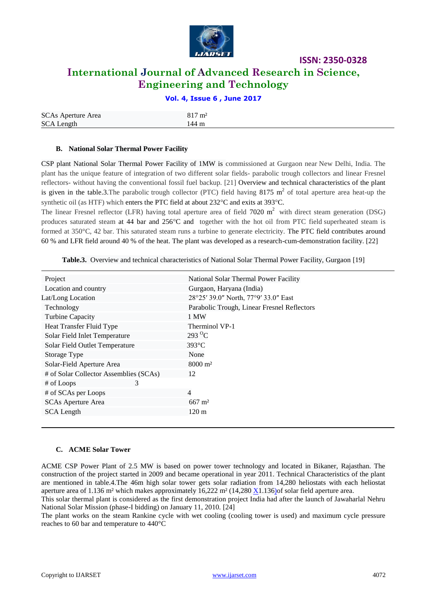

# **International Journal of Advanced Research in Science, Engineering and Technology**

**ISSN: 2350-0328**

#### **Vol. 4, Issue 6 , June 2017**

| <b>SCAs Aperture Area</b> | $817 \text{ m}^2$ |
|---------------------------|-------------------|
| <b>SCA Length</b>         | 144 m             |

#### **B. National Solar Thermal Power Facility**

CSP plant National Solar Thermal Power Facility of 1MW is commissioned at Gurgaon near New Delhi, India. The plant has the unique feature of integration of two different solar fields- parabolic trough collectors and linear Fresnel reflectors- without having the conventional fossil fuel backup. [21] Overview and technical characteristics of the plant is given in the table.3. The parabolic trough collector (PTC) field having  $8175 \text{ m}^2$  of total aperture area heat-up the synthetic oil (as HTF) which enters the PTC field at about  $232^{\circ}$ C and exits at 393 $^{\circ}$ C.

The linear Fresnel reflector (LFR) having total aperture area of field  $7020 \text{ m}^2$  with direct steam generation (DSG) produces saturated steam at 44 bar and 256°C and together with the hot oil from PTC field superheated steam is formed at 350°C, 42 bar. This saturated steam runs a turbine to generate electricity. The PTC field contributes around 60 % and LFR field around 40 % of the heat. The plant was developed as a research-cum-demonstration facility. [22]

| Project                                | National Solar Thermal Power Facility       |  |  |
|----------------------------------------|---------------------------------------------|--|--|
| Location and country                   | Gurgaon, Haryana (India)                    |  |  |
| Lat/Long Location                      | 28°25' 39.0" North, 77°9' 33.0" East        |  |  |
| Technology                             | Parabolic Trough, Linear Fresnel Reflectors |  |  |
| Turbine Capacity                       | 1 MW                                        |  |  |
| Heat Transfer Fluid Type               | Therminol VP-1                              |  |  |
| Solar Field Inlet Temperature          | $293\text{ °C}$                             |  |  |
| Solar Field Outlet Temperature         | $393^{\circ}$ C                             |  |  |
| Storage Type                           | None                                        |  |  |
| Solar-Field Aperture Area              | $8000 \; \mathrm{m}^2$                      |  |  |
| # of Solar Collector Assemblies (SCAs) | 12                                          |  |  |
| 3<br># of Loops                        |                                             |  |  |
| # of SCAs per Loops                    | $\overline{4}$                              |  |  |
| <b>SCAs Aperture Area</b>              | $667 \text{ m}^2$                           |  |  |
| <b>SCA Length</b>                      | $120 \text{ m}$                             |  |  |
|                                        |                                             |  |  |

**Table.3.** Overview and technical characteristics of National Solar Thermal Power Facility, Gurgaon [19]

#### **C. ACME Solar Tower**

ACME CSP Power Plant of 2.5 MW is based on power tower technology and located in Bikaner, Rajasthan. The construction of the project started in 2009 and became operational in year 2011. Technical Characteristics of the plant are mentioned in table.4.The 46m high solar tower gets solar radiation from 14,280 heliostats with each heliostat aperture area of 1.136 m<sup>2</sup> which makes approximately  $16,222$  m<sup>2</sup> (14,280 [X1](https://en.wikipedia.org/wiki/X).136)of solar field aperture area.

This solar thermal plant is considered as the first demonstration project India had after the launch of Jawaharlal Nehru National Solar Mission (phase-I bidding) on January 11, 2010. [24]

The plant works on the steam Rankine cycle with wet cooling (cooling tower is used) and maximum cycle pressure reaches to 60 bar and temperature to 440°C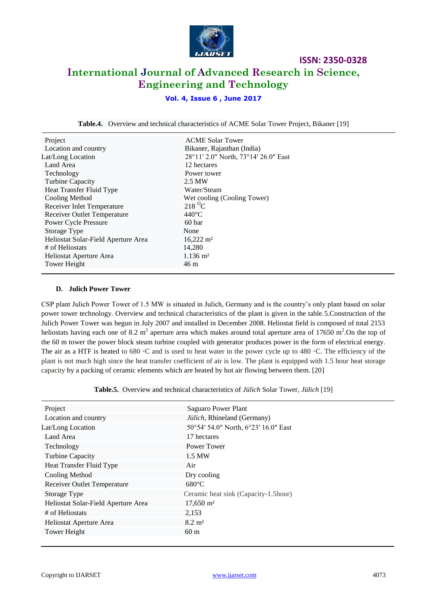

# **ISSN: 2350-0328 International Journal of Advanced Research in Science, Engineering and Technology**

### **Vol. 4, Issue 6 , June 2017**

**Table.4.** Overview and technical characteristics of ACME Solar Tower Project, Bikaner [19]

| Project                             | <b>ACME Solar Tower</b>              |
|-------------------------------------|--------------------------------------|
| Location and country                | Bikaner, Rajasthan (India)           |
| Lat/Long Location                   | 28°11′ 2.0" North, 73°14′ 26.0" East |
| Land Area                           | 12 hectares                          |
| Technology                          | Power tower                          |
| Turbine Capacity                    | 2.5 MW                               |
| Heat Transfer Fluid Type            | Water/Steam                          |
| Cooling Method                      | Wet cooling (Cooling Tower)          |
| Receiver Inlet Temperature          | $218\text{ °C}$                      |
| <b>Receiver Outlet Temperature</b>  | $440^{\circ}$ C                      |
| <b>Power Cycle Pressure</b>         | 60 bar                               |
| Storage Type                        | None                                 |
| Heliostat Solar-Field Aperture Area | $16,222 \text{ m}^2$                 |
| # of Heliostats                     | 14,280                               |
| Heliostat Aperture Area             | $1.136 \text{ m}^2$                  |
| Tower Height                        | 46 m                                 |

#### **D. Julich Power Tower**

CSP plant Julich Power Tower of 1.5 MW is situated in Julich, Germany and is the country"s only plant based on solar power tower technology. Overview and technical characteristics of the plant is given in the table.5.Construction of the Julich Power Tower was begun in July 2007 and installed in December 2008. Heliostat field is composed of total 2153 heliostats having each one of 8.2 m<sup>2</sup> aperture area which makes around total aperture area of 17650 m<sup>2</sup>. On the top of the 60 m tower the power block steam turbine coupled with generator produces power in the form of electrical energy. The air as a HTF is heated to 680 ∘C and is used to heat water in the power cycle up to 480 ∘C. The efficiency of the plant is not much high since the heat transfer coefficient of air is low. The plant is equipped with 1.5 hour heat storage capacity by a packing of ceramic elements which are heated by hot air flowing between them. [20]

**Table.5.** Overview and technical characteristics of *Jülich* Solar Tower, *Jülich* [19]

| Project                             | <b>Saguaro Power Plant</b>           |  |
|-------------------------------------|--------------------------------------|--|
| Location and country                | Jülich, Rhineland (Germany)          |  |
| Lat/Long Location                   | 50°54′ 54.0″ North, 6°23′ 16.0″ East |  |
| Land Area                           | 17 hectares                          |  |
| Technology                          | Power Tower                          |  |
| <b>Turbine Capacity</b>             | 1.5 MW                               |  |
| Heat Transfer Fluid Type            | Air                                  |  |
| Cooling Method                      | Dry cooling                          |  |
| <b>Receiver Outlet Temperature</b>  | $680^{\circ}$ C                      |  |
| Storage Type                        | Ceramic heat sink (Capacity-1.5hour) |  |
| Heliostat Solar-Field Aperture Area | $17,650 \text{ m}^2$                 |  |
| # of Heliostats                     | 2,153                                |  |
| Heliostat Aperture Area             | $8.2 \; \mathrm{m}^2$                |  |
| Tower Height                        | 60 <sub>m</sub>                      |  |
|                                     |                                      |  |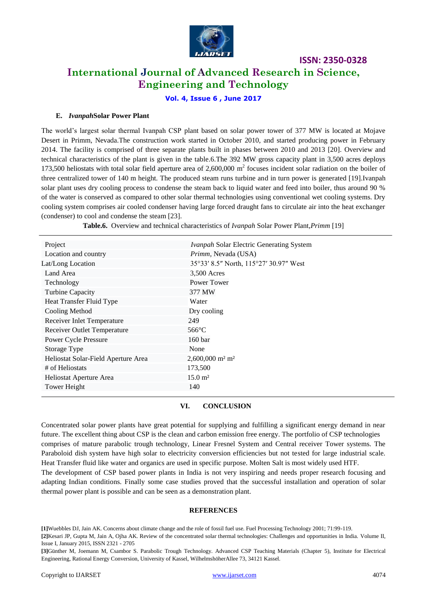

## **International Journal of Advanced Research in Science, Engineering and Technology**

**Vol. 4, Issue 6 , June 2017**

#### **E.** *Ivanpah***Solar Power Plant**

The world"s largest solar thermal Ivanpah CSP plant based on solar power tower of 377 MW is located at Mojave Desert in Primm, Nevada.The construction work started in October 2010, and started producing power in February 2014. The facility is comprised of three separate plants built in phases between 2010 and 2013 [20]. Overview and technical characteristics of the plant is given in the table.6.The 392 MW gross capacity plant in 3,500 acres deploys 173,500 heliostats with total solar field aperture area of  $2,600,000$  m<sup>2</sup> focuses incident solar radiation on the boiler of three centralized tower of 140 m height. The produced steam runs turbine and in turn power is generated [19].Ivanpah solar plant uses dry cooling process to condense the steam back to liquid water and feed into boiler, thus around 90 % of the water is conserved as compared to other solar thermal technologies using conventional wet cooling systems. Dry cooling system comprises air cooled condenser having large forced draught fans to circulate air into the heat exchanger (condenser) to cool and condense the steam [23].

**Table.6.** Overview and technical characteristics of *Ivanpah* Solar Power Plant,*Primm* [19]

| Project                             | <i>Ivanpah Solar Electric Generating System</i> |
|-------------------------------------|-------------------------------------------------|
| Location and country                | Primm, Nevada (USA)                             |
| Lat/Long Location                   | 35°33′ 8.5″ North, 115°27′ 30.97″ West          |
| Land Area                           | 3,500 Acres                                     |
| Technology                          | Power Tower                                     |
| <b>Turbine Capacity</b>             | 377 MW                                          |
| Heat Transfer Fluid Type            | Water                                           |
| Cooling Method                      | Dry cooling                                     |
| Receiver Inlet Temperature          | 249                                             |
| <b>Receiver Outlet Temperature</b>  | $566^{\circ}$ C                                 |
| Power Cycle Pressure                | 160 <sub>bar</sub>                              |
| Storage Type                        | None                                            |
| Heliostat Solar-Field Aperture Area | $2,600,000$ m <sup>2</sup> m <sup>2</sup>       |
| # of Heliostats                     | 173,500                                         |
| Heliostat Aperture Area             | $15.0 \; \mathrm{m}^2$                          |
| Tower Height                        | 140                                             |
|                                     |                                                 |

#### **VI. CONCLUSION**

Concentrated solar power plants have great potential for supplying and fulfilling a significant energy demand in near future. The excellent thing about CSP is the clean and carbon emission free energy. The portfolio of CSP technologies comprises of mature parabolic trough technology, Linear Fresnel System and Central receiver Tower systems. The Paraboloid dish system have high solar to electricity conversion efficiencies but not tested for large industrial scale. Heat Transfer fluid like water and organics are used in specific purpose. Molten Salt is most widely used HTF.

The development of CSP based power plants in India is not very inspiring and needs proper research focusing and adapting Indian conditions. Finally some case studies proved that the successful installation and operation of solar thermal power plant is possible and can be seen as a demonstration plant.

#### **REFERENCES**

**[1]**Wuebbles DJ, Jain AK. Concerns about climate change and the role of fossil fuel use. Fuel Processing Technology 2001; 71:99-119.

**[2]**Kesari JP, Gupta M, Jain A, Ojha AK. Review of the concentrated solar thermal technologies: Challenges and opportunities in India. Volume II, Issue I, January 2015, ISSN 2321 - 2705

**[3]**Günther M, Joemann M, Csambor S. Parabolic Trough Technology. Advanced CSP Teaching Materials (Chapter 5), Institute for Electrical Engineering, Rational Energy Conversion, University of Kassel, WilhelmshöherAllee 73, 34121 Kassel.